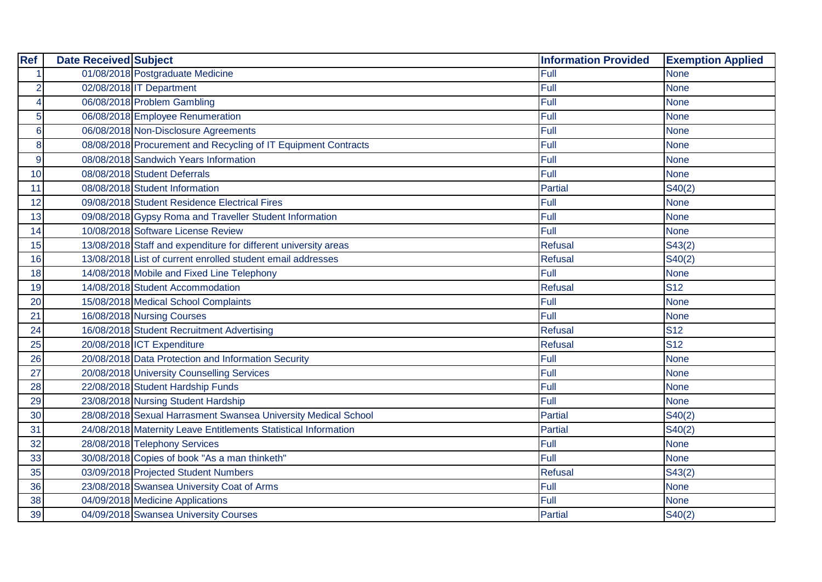| <b>Ref</b>           | <b>Date Received Subject</b> |                                                                 | <b>Information Provided</b> | <b>Exemption Applied</b> |
|----------------------|------------------------------|-----------------------------------------------------------------|-----------------------------|--------------------------|
| $\blacktriangleleft$ |                              | 01/08/2018 Postgraduate Medicine                                | Full                        | <b>None</b>              |
| $\overline{2}$       |                              | 02/08/2018 IT Department                                        | Full                        | <b>None</b>              |
| $\overline{4}$       |                              | 06/08/2018 Problem Gambling                                     | Full                        | <b>None</b>              |
| 5                    |                              | 06/08/2018 Employee Renumeration                                | Full                        | <b>None</b>              |
| $6\phantom{1}6$      |                              | 06/08/2018 Non-Disclosure Agreements                            | Full                        | <b>None</b>              |
| 8                    |                              | 08/08/2018 Procurement and Recycling of IT Equipment Contracts  | Full                        | <b>None</b>              |
| 9                    |                              | 08/08/2018 Sandwich Years Information                           | Full                        | <b>None</b>              |
| 10                   |                              | 08/08/2018 Student Deferrals                                    | Full                        | <b>None</b>              |
| 11                   |                              | 08/08/2018 Student Information                                  | Partial                     | S40(2)                   |
| 12                   |                              | 09/08/2018 Student Residence Electrical Fires                   | Full                        | <b>None</b>              |
| 13                   |                              | 09/08/2018 Gypsy Roma and Traveller Student Information         | Full                        | <b>None</b>              |
| 14                   |                              | 10/08/2018 Software License Review                              | Full                        | <b>None</b>              |
| 15                   |                              | 13/08/2018 Staff and expenditure for different university areas | Refusal                     | S43(2)                   |
| 16                   |                              | 13/08/2018 List of current enrolled student email addresses     | <b>Refusal</b>              | S40(2)                   |
| 18                   |                              | 14/08/2018 Mobile and Fixed Line Telephony                      | Full                        | <b>None</b>              |
| 19                   |                              | 14/08/2018 Student Accommodation                                | <b>Refusal</b>              | <b>S12</b>               |
| 20                   |                              | 15/08/2018 Medical School Complaints                            | Full                        | <b>None</b>              |
| 21                   |                              | 16/08/2018 Nursing Courses                                      | Full                        | <b>None</b>              |
| 24                   |                              | 16/08/2018 Student Recruitment Advertising                      | Refusal                     | <b>S12</b>               |
| 25                   |                              | 20/08/2018 ICT Expenditure                                      | <b>Refusal</b>              | <b>S12</b>               |
| 26                   |                              | 20/08/2018 Data Protection and Information Security             | Full                        | <b>None</b>              |
| 27                   |                              | 20/08/2018 University Counselling Services                      | Full                        | <b>None</b>              |
| 28                   |                              | 22/08/2018 Student Hardship Funds                               | Full                        | <b>None</b>              |
| 29                   |                              | 23/08/2018 Nursing Student Hardship                             | Full                        | <b>None</b>              |
| 30                   |                              | 28/08/2018 Sexual Harrasment Swansea University Medical School  | <b>Partial</b>              | S40(2)                   |
| 31                   |                              | 24/08/2018 Maternity Leave Entitlements Statistical Information | <b>Partial</b>              | S40(2)                   |
| 32                   |                              | 28/08/2018 Telephony Services                                   | Full                        | <b>None</b>              |
| 33                   |                              | 30/08/2018 Copies of book "As a man thinketh"                   | Full                        | <b>None</b>              |
| 35                   |                              | 03/09/2018 Projected Student Numbers                            | <b>Refusal</b>              | S43(2)                   |
| 36                   |                              | 23/08/2018 Swansea University Coat of Arms                      | Full                        | <b>None</b>              |
| 38                   |                              | 04/09/2018 Medicine Applications                                | Full                        | <b>None</b>              |
| 39                   |                              | 04/09/2018 Swansea University Courses                           | Partial                     | S40(2)                   |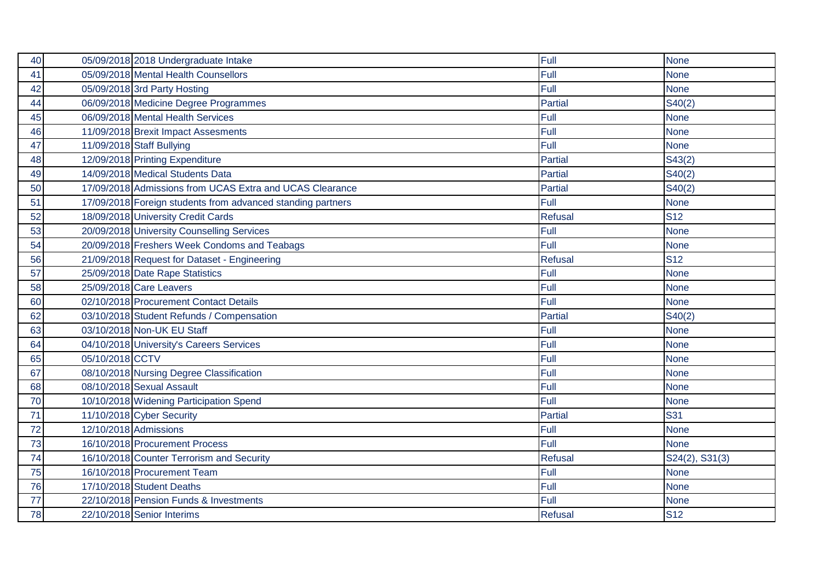| 40 |                 | 05/09/2018 2018 Undergraduate Intake                        | Full           | <b>None</b>    |
|----|-----------------|-------------------------------------------------------------|----------------|----------------|
| 41 |                 | 05/09/2018 Mental Health Counsellors                        | Full           | <b>None</b>    |
| 42 |                 | 05/09/2018 3rd Party Hosting                                | Full           | <b>None</b>    |
| 44 |                 | 06/09/2018 Medicine Degree Programmes                       | Partial        | S40(2)         |
| 45 |                 | 06/09/2018 Mental Health Services                           | Full           | <b>None</b>    |
| 46 |                 | 11/09/2018 Brexit Impact Assesments                         | Full           | <b>None</b>    |
| 47 |                 | 11/09/2018 Staff Bullying                                   | Full           | <b>None</b>    |
| 48 |                 | 12/09/2018 Printing Expenditure                             | Partial        | S43(2)         |
| 49 |                 | 14/09/2018 Medical Students Data                            | <b>Partial</b> | S40(2)         |
| 50 |                 | 17/09/2018 Admissions from UCAS Extra and UCAS Clearance    | Partial        | S40(2)         |
| 51 |                 | 17/09/2018 Foreign students from advanced standing partners | Full           | <b>None</b>    |
| 52 |                 | 18/09/2018 University Credit Cards                          | <b>Refusal</b> | <b>S12</b>     |
| 53 |                 | 20/09/2018 University Counselling Services                  | Full           | <b>None</b>    |
| 54 |                 | 20/09/2018 Freshers Week Condoms and Teabags                | Full           | <b>None</b>    |
| 56 |                 | 21/09/2018 Request for Dataset - Engineering                | Refusal        | <b>S12</b>     |
| 57 |                 | 25/09/2018 Date Rape Statistics                             | Full           | <b>None</b>    |
| 58 |                 | 25/09/2018 Care Leavers                                     | Full           | <b>None</b>    |
| 60 |                 | 02/10/2018 Procurement Contact Details                      | Full           | <b>None</b>    |
| 62 |                 | 03/10/2018 Student Refunds / Compensation                   | <b>Partial</b> | S40(2)         |
| 63 |                 | 03/10/2018 Non-UK EU Staff                                  | Full           | <b>None</b>    |
| 64 |                 | 04/10/2018 University's Careers Services                    | Full           | <b>None</b>    |
| 65 | 05/10/2018 CCTV |                                                             | Full           | <b>None</b>    |
| 67 |                 | 08/10/2018 Nursing Degree Classification                    | Full           | <b>None</b>    |
| 68 |                 | 08/10/2018 Sexual Assault                                   | Full           | <b>None</b>    |
| 70 |                 | 10/10/2018 Widening Participation Spend                     | Full           | <b>None</b>    |
| 71 |                 | 11/10/2018 Cyber Security                                   | <b>Partial</b> | <b>S31</b>     |
| 72 |                 | 12/10/2018 Admissions                                       | Full           | <b>None</b>    |
| 73 |                 | 16/10/2018 Procurement Process                              | Full           | <b>None</b>    |
| 74 |                 | 16/10/2018 Counter Terrorism and Security                   | <b>Refusal</b> | S24(2), S31(3) |
| 75 |                 | 16/10/2018 Procurement Team                                 | Full           | <b>None</b>    |
| 76 |                 | 17/10/2018 Student Deaths                                   | Full           | <b>None</b>    |
| 77 |                 | 22/10/2018 Pension Funds & Investments                      | Full           | <b>None</b>    |
| 78 |                 | 22/10/2018 Senior Interims                                  | <b>Refusal</b> | <b>S12</b>     |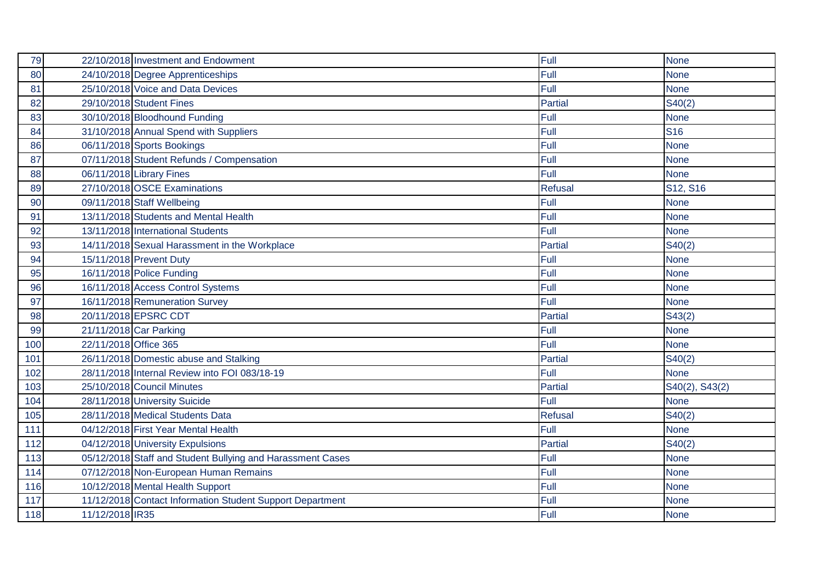| 79  |                       | 22/10/2018 Investment and Endowment                        | Full           | <b>None</b>                       |
|-----|-----------------------|------------------------------------------------------------|----------------|-----------------------------------|
| 80  |                       | 24/10/2018 Degree Apprenticeships                          | Full           | <b>None</b>                       |
| 81  |                       | 25/10/2018 Voice and Data Devices                          | Full           | <b>None</b>                       |
| 82  |                       | 29/10/2018 Student Fines                                   | Partial        | S40(2)                            |
| 83  |                       | 30/10/2018 Bloodhound Funding                              | Full           | <b>None</b>                       |
| 84  |                       | 31/10/2018 Annual Spend with Suppliers                     | Full           | <b>S16</b>                        |
| 86  |                       | 06/11/2018 Sports Bookings                                 | Full           | <b>None</b>                       |
| 87  |                       | 07/11/2018 Student Refunds / Compensation                  | Full           | <b>None</b>                       |
| 88  |                       | 06/11/2018 Library Fines                                   | Full           | <b>None</b>                       |
| 89  |                       | 27/10/2018 OSCE Examinations                               | <b>Refusal</b> | S <sub>12</sub> , S <sub>16</sub> |
| 90  |                       | 09/11/2018 Staff Wellbeing                                 | Full           | <b>None</b>                       |
| 91  |                       | 13/11/2018 Students and Mental Health                      | Full           | <b>None</b>                       |
| 92  |                       | 13/11/2018 International Students                          | Full           | <b>None</b>                       |
| 93  |                       | 14/11/2018 Sexual Harassment in the Workplace              | Partial        | S40(2)                            |
| 94  |                       | 15/11/2018 Prevent Duty                                    | Full           | <b>None</b>                       |
| 95  |                       | 16/11/2018 Police Funding                                  | Full           | <b>None</b>                       |
| 96  |                       | 16/11/2018 Access Control Systems                          | Full           | <b>None</b>                       |
| 97  |                       | 16/11/2018 Remuneration Survey                             | Full           | <b>None</b>                       |
| 98  |                       | 20/11/2018 EPSRC CDT                                       | <b>Partial</b> | S43(2)                            |
| 99  |                       | 21/11/2018 Car Parking                                     | Full           | <b>None</b>                       |
| 100 | 22/11/2018 Office 365 |                                                            | Full           | <b>None</b>                       |
| 101 |                       | 26/11/2018 Domestic abuse and Stalking                     | <b>Partial</b> | S40(2)                            |
| 102 |                       | 28/11/2018 Internal Review into FOI 083/18-19              | Full           | <b>None</b>                       |
| 103 |                       | 25/10/2018 Council Minutes                                 | Partial        | S40(2), S43(2)                    |
| 104 |                       | 28/11/2018 University Suicide                              | Full           | <b>None</b>                       |
| 105 |                       | 28/11/2018 Medical Students Data                           | <b>Refusal</b> | S40(2)                            |
| 111 |                       | 04/12/2018 First Year Mental Health                        | Full           | <b>None</b>                       |
| 112 |                       | 04/12/2018 University Expulsions                           | <b>Partial</b> | S40(2)                            |
| 113 |                       | 05/12/2018 Staff and Student Bullying and Harassment Cases | Full           | <b>None</b>                       |
| 114 |                       | 07/12/2018 Non-European Human Remains                      | Full           | <b>None</b>                       |
| 116 |                       | 10/12/2018 Mental Health Support                           | Full           | <b>None</b>                       |
| 117 |                       | 11/12/2018 Contact Information Student Support Department  | Full           | <b>None</b>                       |
| 118 | 11/12/2018 IR35       |                                                            | Full           | <b>None</b>                       |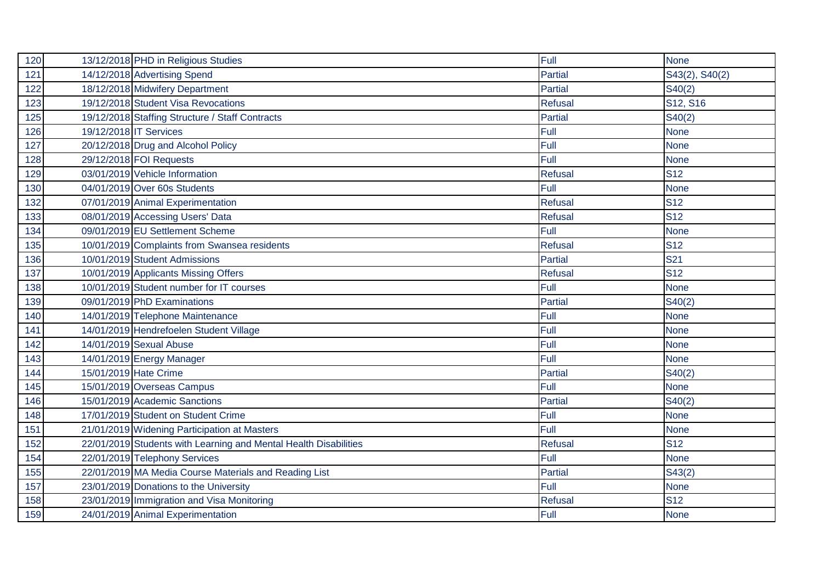| 120 | 13/12/2018 PHD in Religious Studies                              | Full           | <b>None</b>    |
|-----|------------------------------------------------------------------|----------------|----------------|
| 121 | 14/12/2018 Advertising Spend                                     | Partial        | S43(2), S40(2) |
| 122 | 18/12/2018 Midwifery Department                                  | <b>Partial</b> | S40(2)         |
| 123 | 19/12/2018 Student Visa Revocations                              | Refusal        | S12, S16       |
| 125 | 19/12/2018 Staffing Structure / Staff Contracts                  | Partial        | S40(2)         |
| 126 | 19/12/2018 IT Services                                           | Full           | <b>None</b>    |
| 127 | 20/12/2018 Drug and Alcohol Policy                               | Full           | <b>None</b>    |
| 128 | 29/12/2018 FOI Requests                                          | Full           | <b>None</b>    |
| 129 | 03/01/2019 Vehicle Information                                   | Refusal        | <b>S12</b>     |
| 130 | 04/01/2019 Over 60s Students                                     | Full           | <b>None</b>    |
| 132 | 07/01/2019 Animal Experimentation                                | <b>Refusal</b> | <b>S12</b>     |
| 133 | 08/01/2019 Accessing Users' Data                                 | Refusal        | <b>S12</b>     |
| 134 | 09/01/2019 EU Settlement Scheme                                  | Full           | <b>None</b>    |
| 135 | 10/01/2019 Complaints from Swansea residents                     | <b>Refusal</b> | <b>S12</b>     |
| 136 | 10/01/2019 Student Admissions                                    | <b>Partial</b> | <b>S21</b>     |
| 137 | 10/01/2019 Applicants Missing Offers                             | <b>Refusal</b> | <b>S12</b>     |
| 138 | 10/01/2019 Student number for IT courses                         | Full           | <b>None</b>    |
| 139 | 09/01/2019 PhD Examinations                                      | Partial        | S40(2)         |
| 140 | 14/01/2019 Telephone Maintenance                                 | Full           | <b>None</b>    |
| 141 | 14/01/2019 Hendrefoelen Student Village                          | Full           | <b>None</b>    |
| 142 | 14/01/2019 Sexual Abuse                                          | Full           | <b>None</b>    |
| 143 | 14/01/2019 Energy Manager                                        | Full           | <b>None</b>    |
| 144 | 15/01/2019 Hate Crime                                            | Partial        | S40(2)         |
| 145 | 15/01/2019 Overseas Campus                                       | Full           | <b>None</b>    |
| 146 | 15/01/2019 Academic Sanctions                                    | Partial        | S40(2)         |
| 148 | 17/01/2019 Student on Student Crime                              | Full           | <b>None</b>    |
| 151 | 21/01/2019 Widening Participation at Masters                     | Full           | <b>None</b>    |
| 152 | 22/01/2019 Students with Learning and Mental Health Disabilities | Refusal        | <b>S12</b>     |
| 154 | 22/01/2019 Telephony Services                                    | Full           | <b>None</b>    |
| 155 | 22/01/2019 MA Media Course Materials and Reading List            | Partial        | S43(2)         |
| 157 | 23/01/2019 Donations to the University                           | Full           | <b>None</b>    |
| 158 | 23/01/2019 Immigration and Visa Monitoring                       | <b>Refusal</b> | <b>S12</b>     |
| 159 | 24/01/2019 Animal Experimentation                                | Full           | <b>None</b>    |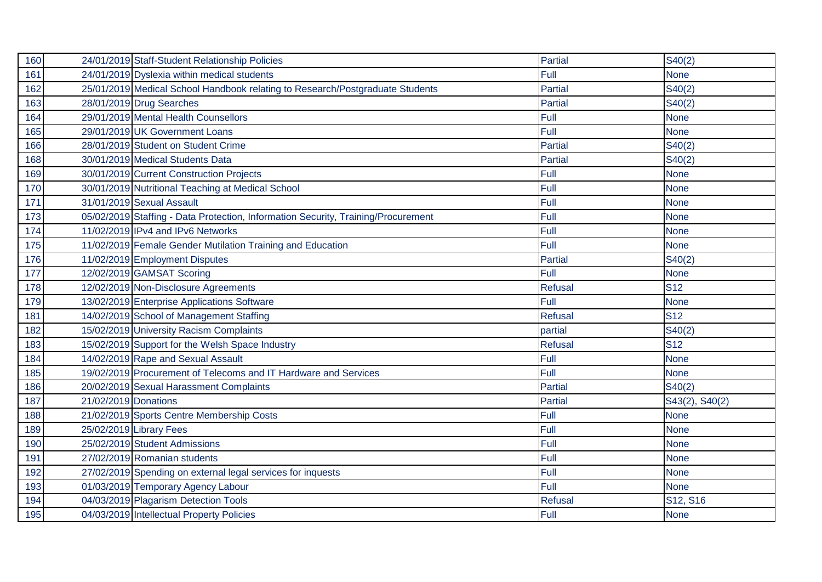| 160 |                      | 24/01/2019 Staff-Student Relationship Policies                                    | Partial        | S40(2)         |
|-----|----------------------|-----------------------------------------------------------------------------------|----------------|----------------|
| 161 |                      | 24/01/2019 Dyslexia within medical students                                       | Full           | <b>None</b>    |
| 162 |                      | 25/01/2019 Medical School Handbook relating to Research/Postgraduate Students     | <b>Partial</b> | S40(2)         |
| 163 |                      | 28/01/2019 Drug Searches                                                          | Partial        | S40(2)         |
| 164 |                      | 29/01/2019 Mental Health Counsellors                                              | Full           | <b>None</b>    |
| 165 |                      | 29/01/2019 UK Government Loans                                                    | Full           | <b>None</b>    |
| 166 |                      | 28/01/2019 Student on Student Crime                                               | Partial        | S40(2)         |
| 168 |                      | 30/01/2019 Medical Students Data                                                  | <b>Partial</b> | S40(2)         |
| 169 |                      | 30/01/2019 Current Construction Projects                                          | Full           | <b>None</b>    |
| 170 |                      | 30/01/2019 Nutritional Teaching at Medical School                                 | Full           | <b>None</b>    |
| 171 |                      | 31/01/2019 Sexual Assault                                                         | Full           | <b>None</b>    |
| 173 |                      | 05/02/2019 Staffing - Data Protection, Information Security, Training/Procurement | Full           | None           |
| 174 |                      | 11/02/2019 IPv4 and IPv6 Networks                                                 | Full           | <b>None</b>    |
| 175 |                      | 11/02/2019 Female Gender Mutilation Training and Education                        | Full           | <b>None</b>    |
| 176 |                      | 11/02/2019 Employment Disputes                                                    | Partial        | S40(2)         |
| 177 |                      | 12/02/2019 GAMSAT Scoring                                                         | Full           | <b>None</b>    |
| 178 |                      | 12/02/2019 Non-Disclosure Agreements                                              | <b>Refusal</b> | <b>S12</b>     |
| 179 |                      | 13/02/2019 Enterprise Applications Software                                       | Full           | <b>None</b>    |
| 181 |                      | 14/02/2019 School of Management Staffing                                          | <b>Refusal</b> | <b>S12</b>     |
| 182 |                      | 15/02/2019 University Racism Complaints                                           | partial        | S40(2)         |
| 183 |                      | 15/02/2019 Support for the Welsh Space Industry                                   | <b>Refusal</b> | <b>S12</b>     |
| 184 |                      | 14/02/2019 Rape and Sexual Assault                                                | Full           | <b>None</b>    |
| 185 |                      | 19/02/2019 Procurement of Telecoms and IT Hardware and Services                   | Full           | <b>None</b>    |
| 186 |                      | 20/02/2019 Sexual Harassment Complaints                                           | <b>Partial</b> | S40(2)         |
| 187 | 21/02/2019 Donations |                                                                                   | Partial        | S43(2), S40(2) |
| 188 |                      | 21/02/2019 Sports Centre Membership Costs                                         | Full           | <b>None</b>    |
| 189 |                      | 25/02/2019 Library Fees                                                           | Full           | <b>None</b>    |
| 190 |                      | 25/02/2019 Student Admissions                                                     | Full           | <b>None</b>    |
| 191 |                      | 27/02/2019 Romanian students                                                      | Full           | <b>None</b>    |
| 192 |                      | 27/02/2019 Spending on external legal services for inquests                       | Full           | <b>None</b>    |
| 193 |                      | 01/03/2019 Temporary Agency Labour                                                | Full           | <b>None</b>    |
| 194 |                      | 04/03/2019 Plagarism Detection Tools                                              | <b>Refusal</b> | S12, S16       |
| 195 |                      | 04/03/2019 Intellectual Property Policies                                         | Full           | <b>None</b>    |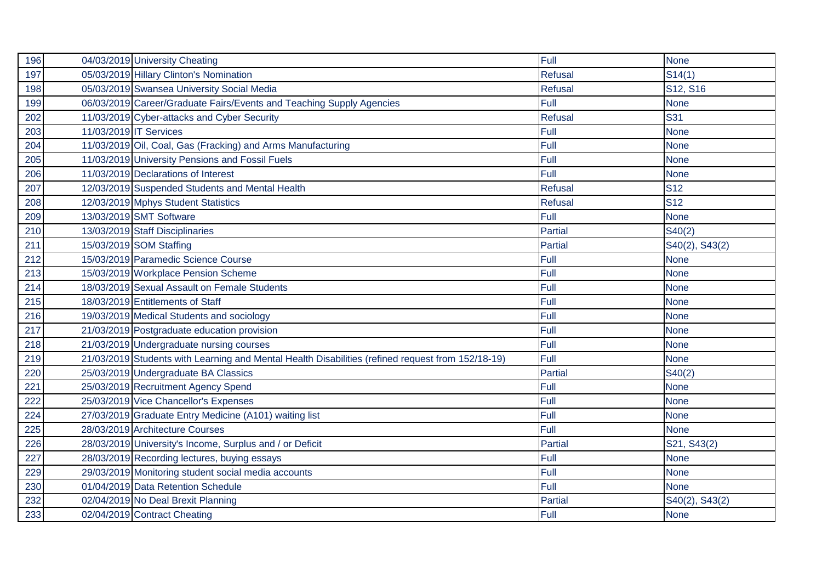| 196 |                        | 04/03/2019 University Cheating                                                                    | Full           | <b>None</b>    |
|-----|------------------------|---------------------------------------------------------------------------------------------------|----------------|----------------|
| 197 |                        | 05/03/2019 Hillary Clinton's Nomination                                                           | Refusal        | S14(1)         |
| 198 |                        | 05/03/2019 Swansea University Social Media                                                        | <b>Refusal</b> | S12, S16       |
| 199 |                        | 06/03/2019 Career/Graduate Fairs/Events and Teaching Supply Agencies                              | Full           | <b>None</b>    |
| 202 |                        | 11/03/2019 Cyber-attacks and Cyber Security                                                       | <b>Refusal</b> | <b>S31</b>     |
| 203 | 11/03/2019 IT Services |                                                                                                   | Full           | <b>None</b>    |
| 204 |                        | 11/03/2019 Oil, Coal, Gas (Fracking) and Arms Manufacturing                                       | Full           | <b>None</b>    |
| 205 |                        | 11/03/2019 University Pensions and Fossil Fuels                                                   | Full           | <b>None</b>    |
| 206 |                        | 11/03/2019 Declarations of Interest                                                               | Full           | <b>None</b>    |
| 207 |                        | 12/03/2019 Suspended Students and Mental Health                                                   | Refusal        | <b>S12</b>     |
| 208 |                        | 12/03/2019 Mphys Student Statistics                                                               | Refusal        | <b>S12</b>     |
| 209 |                        | 13/03/2019 SMT Software                                                                           | Full           | <b>None</b>    |
| 210 |                        | 13/03/2019 Staff Disciplinaries                                                                   | <b>Partial</b> | S40(2)         |
| 211 |                        | 15/03/2019 SOM Staffing                                                                           | Partial        | S40(2), S43(2) |
| 212 |                        | 15/03/2019 Paramedic Science Course                                                               | Full           | <b>None</b>    |
| 213 |                        | 15/03/2019 Workplace Pension Scheme                                                               | Full           | <b>None</b>    |
| 214 |                        | 18/03/2019 Sexual Assault on Female Students                                                      | Full           | <b>None</b>    |
| 215 |                        | 18/03/2019 Entitlements of Staff                                                                  | Full           | <b>None</b>    |
| 216 |                        | 19/03/2019 Medical Students and sociology                                                         | Full           | <b>None</b>    |
| 217 |                        | 21/03/2019 Postgraduate education provision                                                       | Full           | <b>None</b>    |
| 218 |                        | 21/03/2019 Undergraduate nursing courses                                                          | Full           | <b>None</b>    |
| 219 |                        | 21/03/2019 Students with Learning and Mental Health Disabilities (refined request from 152/18-19) | Full           | <b>None</b>    |
| 220 |                        | 25/03/2019 Undergraduate BA Classics                                                              | <b>Partial</b> | S40(2)         |
| 221 |                        | 25/03/2019 Recruitment Agency Spend                                                               | Full           | <b>None</b>    |
| 222 |                        | 25/03/2019 Vice Chancellor's Expenses                                                             | Full           | <b>None</b>    |
| 224 |                        | 27/03/2019 Graduate Entry Medicine (A101) waiting list                                            | Full           | <b>None</b>    |
| 225 |                        | 28/03/2019 Architecture Courses                                                                   | Full           | <b>None</b>    |
| 226 |                        | 28/03/2019 University's Income, Surplus and / or Deficit                                          | <b>Partial</b> | S21, S43(2)    |
| 227 |                        | 28/03/2019 Recording lectures, buying essays                                                      | Full           | <b>None</b>    |
| 229 |                        | 29/03/2019 Monitoring student social media accounts                                               | Full           | <b>None</b>    |
| 230 |                        | 01/04/2019 Data Retention Schedule                                                                | Full           | <b>None</b>    |
| 232 |                        | 02/04/2019 No Deal Brexit Planning                                                                | <b>Partial</b> | S40(2), S43(2) |
| 233 |                        | 02/04/2019 Contract Cheating                                                                      | Full           | <b>None</b>    |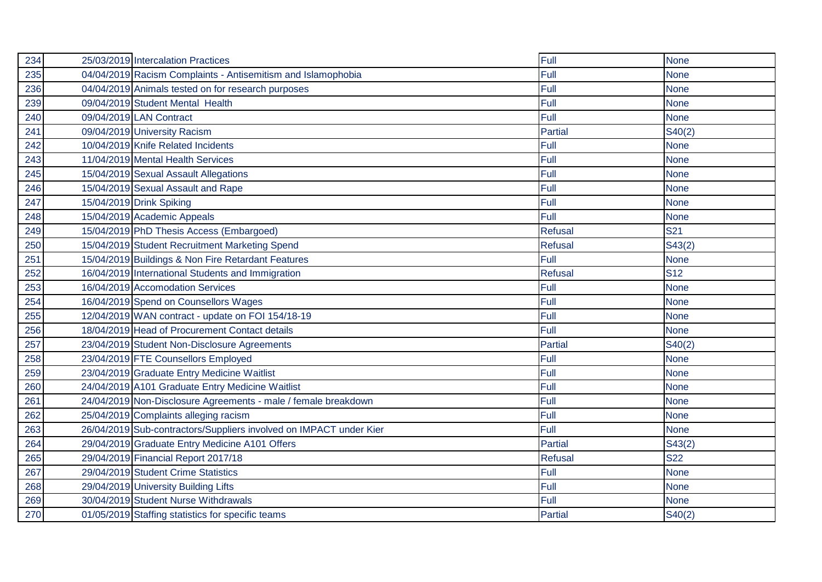| 234 | 25/03/2019 Intercalation Practices                                 | Full           | <b>None</b> |
|-----|--------------------------------------------------------------------|----------------|-------------|
| 235 | 04/04/2019 Racism Complaints - Antisemitism and Islamophobia       | Full           | <b>None</b> |
| 236 | 04/04/2019 Animals tested on for research purposes                 | Full           | <b>None</b> |
| 239 | 09/04/2019 Student Mental Health                                   | Full           | <b>None</b> |
| 240 | 09/04/2019 LAN Contract                                            | Full           | <b>None</b> |
| 241 | 09/04/2019 University Racism                                       | <b>Partial</b> | S40(2)      |
| 242 | 10/04/2019 Knife Related Incidents                                 | Full           | <b>None</b> |
| 243 | 11/04/2019 Mental Health Services                                  | Full           | <b>None</b> |
| 245 | 15/04/2019 Sexual Assault Allegations                              | Full           | <b>None</b> |
| 246 | 15/04/2019 Sexual Assault and Rape                                 | Full           | <b>None</b> |
| 247 | 15/04/2019 Drink Spiking                                           | Full           | <b>None</b> |
| 248 | 15/04/2019 Academic Appeals                                        | Full           | <b>None</b> |
| 249 | 15/04/2019 PhD Thesis Access (Embargoed)                           | Refusal        | <b>S21</b>  |
| 250 | 15/04/2019 Student Recruitment Marketing Spend                     | Refusal        | S43(2)      |
| 251 | 15/04/2019 Buildings & Non Fire Retardant Features                 | Full           | <b>None</b> |
| 252 | 16/04/2019 International Students and Immigration                  | <b>Refusal</b> | <b>S12</b>  |
| 253 | 16/04/2019 Accomodation Services                                   | Full           | <b>None</b> |
| 254 | 16/04/2019 Spend on Counsellors Wages                              | Full           | <b>None</b> |
| 255 | 12/04/2019 WAN contract - update on FOI 154/18-19                  | Full           | <b>None</b> |
| 256 | 18/04/2019 Head of Procurement Contact details                     | Full           | <b>None</b> |
| 257 | 23/04/2019 Student Non-Disclosure Agreements                       | Partial        | S40(2)      |
| 258 | 23/04/2019 FTE Counsellors Employed                                | Full           | <b>None</b> |
| 259 | 23/04/2019 Graduate Entry Medicine Waitlist                        | Full           | <b>None</b> |
| 260 | 24/04/2019 A101 Graduate Entry Medicine Waitlist                   | Full           | <b>None</b> |
| 261 | 24/04/2019 Non-Disclosure Agreements - male / female breakdown     | Full           | <b>None</b> |
| 262 | 25/04/2019 Complaints alleging racism                              | Full           | <b>None</b> |
| 263 | 26/04/2019 Sub-contractors/Suppliers involved on IMPACT under Kier | Full           | <b>None</b> |
| 264 | 29/04/2019 Graduate Entry Medicine A101 Offers                     | <b>Partial</b> | S43(2)      |
| 265 | 29/04/2019 Financial Report 2017/18                                | <b>Refusal</b> | <b>S22</b>  |
| 267 | 29/04/2019 Student Crime Statistics                                | Full           | <b>None</b> |
| 268 | 29/04/2019 University Building Lifts                               | Full           | <b>None</b> |
| 269 | 30/04/2019 Student Nurse Withdrawals                               | Full           | <b>None</b> |
| 270 | 01/05/2019 Staffing statistics for specific teams                  | <b>Partial</b> | S40(2)      |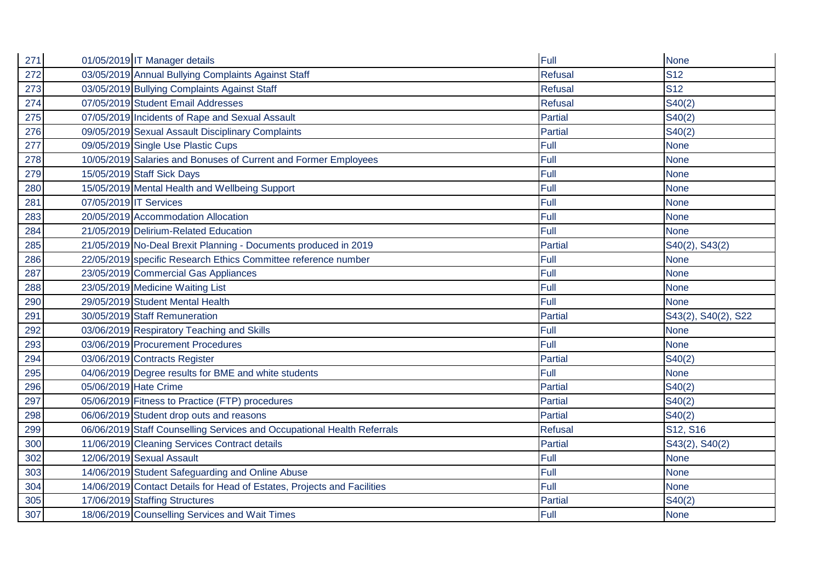| 271 |                        | 01/05/2019 IT Manager details                                           | Full           | <b>None</b>         |
|-----|------------------------|-------------------------------------------------------------------------|----------------|---------------------|
| 272 |                        | 03/05/2019 Annual Bullying Complaints Against Staff                     | <b>Refusal</b> | <b>S12</b>          |
| 273 |                        | 03/05/2019 Bullying Complaints Against Staff                            | <b>Refusal</b> | <b>S12</b>          |
| 274 |                        | 07/05/2019 Student Email Addresses                                      | <b>Refusal</b> | S40(2)              |
| 275 |                        | 07/05/2019 Incidents of Rape and Sexual Assault                         | Partial        | S40(2)              |
| 276 |                        | 09/05/2019 Sexual Assault Disciplinary Complaints                       | <b>Partial</b> | S40(2)              |
| 277 |                        | 09/05/2019 Single Use Plastic Cups                                      | Full           | <b>None</b>         |
| 278 |                        | 10/05/2019 Salaries and Bonuses of Current and Former Employees         | Full           | <b>None</b>         |
| 279 |                        | 15/05/2019 Staff Sick Days                                              | Full           | <b>None</b>         |
| 280 |                        | 15/05/2019 Mental Health and Wellbeing Support                          | Full           | <b>None</b>         |
| 281 | 07/05/2019 IT Services |                                                                         | Full           | <b>None</b>         |
| 283 |                        | 20/05/2019 Accommodation Allocation                                     | Full           | <b>None</b>         |
| 284 |                        | 21/05/2019 Delirium-Related Education                                   | Full           | <b>None</b>         |
| 285 |                        | 21/05/2019 No-Deal Brexit Planning - Documents produced in 2019         | Partial        | S40(2), S43(2)      |
| 286 |                        | 22/05/2019 specific Research Ethics Committee reference number          | Full           | <b>None</b>         |
| 287 |                        | 23/05/2019 Commercial Gas Appliances                                    | Full           | <b>None</b>         |
| 288 |                        | 23/05/2019 Medicine Waiting List                                        | Full           | <b>None</b>         |
| 290 |                        | 29/05/2019 Student Mental Health                                        | Full           | <b>None</b>         |
| 291 |                        | 30/05/2019 Staff Remuneration                                           | <b>Partial</b> | S43(2), S40(2), S22 |
| 292 |                        | 03/06/2019 Respiratory Teaching and Skills                              | Full           | <b>None</b>         |
| 293 |                        | 03/06/2019 Procurement Procedures                                       | Full           | <b>None</b>         |
| 294 |                        | 03/06/2019 Contracts Register                                           | Partial        | S40(2)              |
| 295 |                        | 04/06/2019 Degree results for BME and white students                    | Full           | <b>None</b>         |
| 296 | 05/06/2019 Hate Crime  |                                                                         | Partial        | S40(2)              |
| 297 |                        | 05/06/2019 Fitness to Practice (FTP) procedures                         | <b>Partial</b> | S40(2)              |
| 298 |                        | 06/06/2019 Student drop outs and reasons                                | Partial        | S40(2)              |
| 299 |                        | 06/06/2019 Staff Counselling Services and Occupational Health Referrals | <b>Refusal</b> | S12, S16            |
| 300 |                        | 11/06/2019 Cleaning Services Contract details                           | <b>Partial</b> | S43(2), S40(2)      |
| 302 |                        | 12/06/2019 Sexual Assault                                               | Full           | <b>None</b>         |
| 303 |                        | 14/06/2019 Student Safeguarding and Online Abuse                        | Full           | <b>None</b>         |
| 304 |                        | 14/06/2019 Contact Details for Head of Estates, Projects and Facilities | Full           | <b>None</b>         |
| 305 |                        | 17/06/2019 Staffing Structures                                          | <b>Partial</b> | S40(2)              |
| 307 |                        | 18/06/2019 Counselling Services and Wait Times                          | Full           | <b>None</b>         |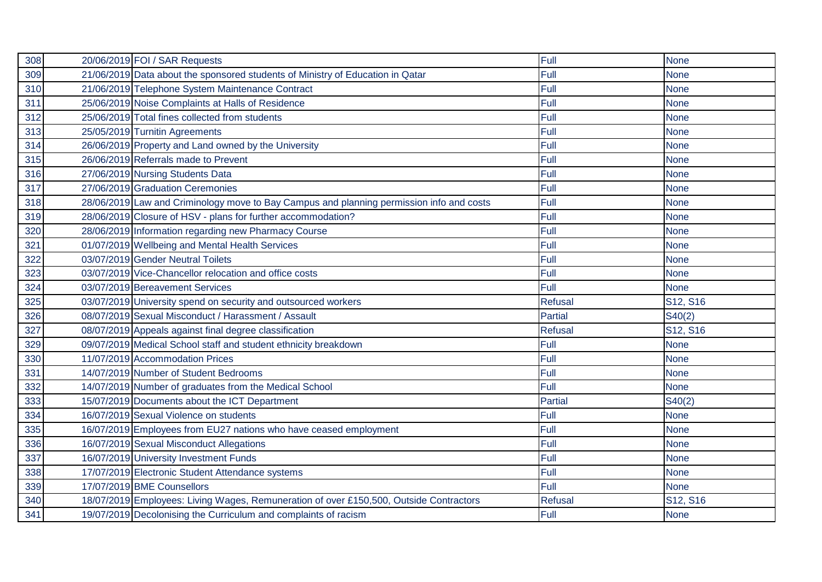| 308 | 20/06/2019 FOI / SAR Requests                                                            | Full           | <b>None</b> |
|-----|------------------------------------------------------------------------------------------|----------------|-------------|
| 309 | 21/06/2019 Data about the sponsored students of Ministry of Education in Qatar           | Full           | <b>None</b> |
| 310 | 21/06/2019 Telephone System Maintenance Contract                                         | Full           | <b>None</b> |
| 311 | 25/06/2019 Noise Complaints at Halls of Residence                                        | Full           | <b>None</b> |
| 312 | 25/06/2019 Total fines collected from students                                           | Full           | <b>None</b> |
| 313 | 25/05/2019 Turnitin Agreements                                                           | Full           | <b>None</b> |
| 314 | 26/06/2019 Property and Land owned by the University                                     | Full           | <b>None</b> |
| 315 | 26/06/2019 Referrals made to Prevent                                                     | Full           | <b>None</b> |
| 316 | 27/06/2019 Nursing Students Data                                                         | Full           | <b>None</b> |
| 317 | 27/06/2019 Graduation Ceremonies                                                         | Full           | <b>None</b> |
| 318 | 28/06/2019 Law and Criminology move to Bay Campus and planning permission info and costs | Full           | <b>None</b> |
| 319 | 28/06/2019 Closure of HSV - plans for further accommodation?                             | Full           | <b>None</b> |
| 320 | 28/06/2019 Information regarding new Pharmacy Course                                     | Full           | <b>None</b> |
| 321 | 01/07/2019 Wellbeing and Mental Health Services                                          | Full           | <b>None</b> |
| 322 | 03/07/2019 Gender Neutral Toilets                                                        | Full           | <b>None</b> |
| 323 | 03/07/2019 Vice-Chancellor relocation and office costs                                   | Full           | <b>None</b> |
| 324 | 03/07/2019 Bereavement Services                                                          | Full           | <b>None</b> |
| 325 | 03/07/2019 University spend on security and outsourced workers                           | Refusal        | S12, S16    |
| 326 | 08/07/2019 Sexual Misconduct / Harassment / Assault                                      | Partial        | S40(2)      |
| 327 | 08/07/2019 Appeals against final degree classification                                   | <b>Refusal</b> | S12, S16    |
| 329 | 09/07/2019 Medical School staff and student ethnicity breakdown                          | Full           | <b>None</b> |
| 330 | 11/07/2019 Accommodation Prices                                                          | Full           | <b>None</b> |
| 331 | 14/07/2019 Number of Student Bedrooms                                                    | Full           | <b>None</b> |
| 332 | 14/07/2019 Number of graduates from the Medical School                                   | Full           | <b>None</b> |
| 333 | 15/07/2019 Documents about the ICT Department                                            | Partial        | S40(2)      |
| 334 | 16/07/2019 Sexual Violence on students                                                   | Full           | <b>None</b> |
| 335 | 16/07/2019 Employees from EU27 nations who have ceased employment                        | Full           | <b>None</b> |
| 336 | 16/07/2019 Sexual Misconduct Allegations                                                 | Full           | <b>None</b> |
| 337 | 16/07/2019 University Investment Funds                                                   | Full           | <b>None</b> |
| 338 | 17/07/2019 Electronic Student Attendance systems                                         | Full           | <b>None</b> |
| 339 | 17/07/2019 BME Counsellors                                                               | Full           | <b>None</b> |
| 340 | 18/07/2019 Employees: Living Wages, Remuneration of over £150,500, Outside Contractors   | <b>Refusal</b> | S12, S16    |
| 341 | 19/07/2019 Decolonising the Curriculum and complaints of racism                          | Full           | <b>None</b> |